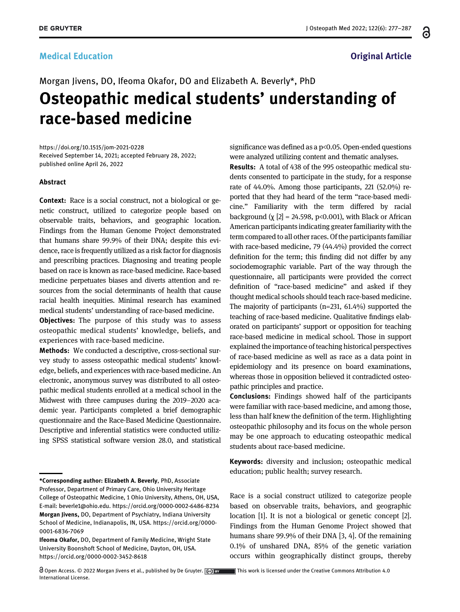### **Medical Education Contraction Contraction Contraction Contraction Contraction Contraction Contraction**

# Morgan Jivens, DO, Ifeoma Okafor, DO and Elizabeth A. Beverly\*, PhD Osteopathic medical students' understanding of race-based medicine

<https://doi.org/10.1515/jom-2021-0228> Received September 14, 2021; accepted February 28, 2022; published online April 26, 2022

#### Abstract

Context: Race is a social construct, not a biological or genetic construct, utilized to categorize people based on observable traits, behaviors, and geographic location. Findings from the Human Genome Project demonstrated that humans share 99.9% of their DNA; despite this evidence, race is frequently utilized as a risk factor for diagnosis and prescribing practices. Diagnosing and treating people based on race is known as race-based medicine. Race-based medicine perpetuates biases and diverts attention and resources from the social determinants of health that cause racial health inequities. Minimal research has examined medical students' understanding of race-based medicine.

**Objectives:** The purpose of this study was to assess osteopathic medical students' knowledge, beliefs, and experiences with race-based medicine.

Methods: We conducted a descriptive, cross-sectional survey study to assess osteopathic medical students' knowledge, beliefs, and experiences with race-based medicine. An electronic, anonymous survey was distributed to all osteopathic medical students enrolled at a medical school in the Midwest with three campuses during the 2019–2020 academic year. Participants completed a brief demographic questionnaire and the Race-Based Medicine Questionnaire. Descriptive and inferential statistics were conducted utilizing SPSS statistical software version 28.0, and statistical significance was defined as a p<0.05. Open-ended questions were analyzed utilizing content and thematic analyses.

Results: A total of 438 of the 995 osteopathic medical students consented to participate in the study, for a response rate of 44.0%. Among those participants, 221 (52.0%) reported that they had heard of the term "race-based medicine." Familiarity with the term differed by racial background  $(\chi$  [[2\]](#page-9-0) = 24.598, p<0.001), with Black or African American participants indicating greater familiarity with the term compared to all other races. Of the participants familiar with race-based medicine, 79 (44.4%) provided the correct definition for the term; this finding did not differ by any sociodemographic variable. Part of the way through the questionnaire, all participants were provided the correct definition of "race-based medicine" and asked if they thought medical schools should teach race-based medicine. The majority of participants (n=231, 61.4%) supported the teaching of race-based medicine. Qualitative findings elaborated on participants' support or opposition for teaching race-based medicine in medical school. Those in support explained the importance of teaching historical perspectives of race-based medicine as well as race as a data point in epidemiology and its presence on board examinations, whereas those in opposition believed it contradicted osteopathic principles and practice.

Conclusions: Findings showed half of the participants were familiar with race-based medicine, and among those, less than half knew the definition of the term. Highlighting osteopathic philosophy and its focus on the whole person may be one approach to educating osteopathic medical students about race-based medicine.

Keywords: diversity and inclusion; osteopathic medical education; public health; survey research.

Race is a social construct utilized to categorize people based on observable traits, behaviors, and geographic location [\[1\]](#page-9-1). It is not a biological or genetic concept [\[2\]](#page-9-0). Findings from the Human Genome Project showed that humans share 99.9% of their DNA [[3](#page-9-2), [4](#page-9-3)]. Of the remaining 0.1% of unshared DNA, 85% of the genetic variation occurs within geographically distinct groups, thereby ႕

<sup>\*</sup>Corresponding author: Elizabeth A. Beverly, PhD, Associate Professor, Department of Primary Care, Ohio University Heritage College of Osteopathic Medicine, 1 Ohio University, Athens, OH, USA, E-mail: [beverle1@ohio.edu](mailto:beverle1@ohio.edu).<https://orcid.org/0000-0002-6486-8234> Morgan Jivens, DO, Department of Psychiatry, Indiana University School of Medicine, Indianapolis, IN, USA. [https://orcid.org/0000-](https://orcid.org/0000-0001-6836-7069) [0001-6836-7069](https://orcid.org/0000-0001-6836-7069)

Ifeoma Okafor, DO, Department of Family Medicine, Wright State University Boonshoft School of Medicine, Dayton, OH, USA. <https://orcid.org/0000-0002-3452-8618>

 $\bigcirc$  Open Access. © 2022 Morgan Jivens et al., published by De Gruyter.  $\bigcirc$  are all this work is licensed under the Creative Commons Attribution 4.0 International License.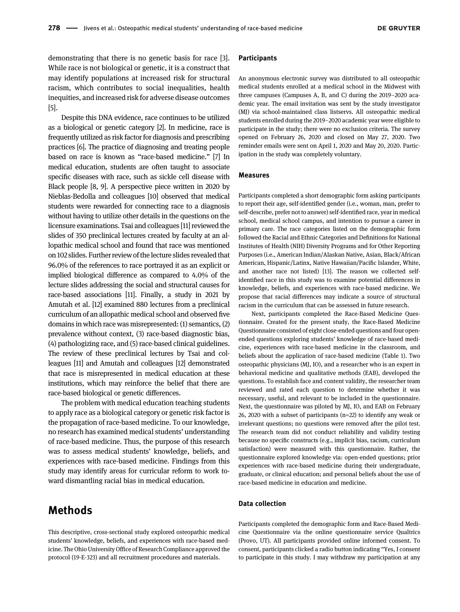demonstrating that there is no genetic basis for race [[3](#page-9-2)]. While race is not biological or genetic, it is a construct that may identify populations at increased risk for structural racism, which contributes to social inequalities, health inequities, and increased risk for adverse disease outcomes [\[5\]](#page-9-4).

Despite this DNA evidence, race continues to be utilized as a biological or genetic category [\[2\]](#page-9-0). In medicine, race is frequently utilized as risk factor for diagnosis and prescribing practices [\[6\]](#page-9-5). The practice of diagnosing and treating people based on race is known as "race-based medicine." [\[7\]](#page-9-6) In medical education, students are often taught to associate specific diseases with race, such as sickle cell disease with Black people [[8](#page-9-7), [9](#page-9-8)]. A perspective piece written in 2020 by Nieblas-Bedolla and colleagues [[10\]](#page-9-9) observed that medical students were rewarded for connecting race to a diagnosis without having to utilize other details in the questions on the licensure examinations. Tsai and colleagues [[11\]](#page-9-10) reviewed the slides of 350 preclinical lectures created by faculty at an allopathic medical school and found that race was mentioned on 102 slides. Further review of thelecture slides revealed that 96.0% of the references to race portrayed it as an explicit or implied biological difference as compared to 4.0% of the lecture slides addressing the social and structural causes for race-based associations [\[11](#page-9-10)]. Finally, a study in 2021 by Amutah et al. [\[12](#page-9-11)] examined 880 lectures from a preclinical curriculum of an allopathic medical school and observed five domains in which race was misrepresented: (1) semantics, (2) prevalence without context, (3) race-based diagnostic bias, (4) pathologizing race, and (5) race-based clinical guidelines. The review of these preclinical lectures by Tsai and colleagues [\[11](#page-9-10)] and Amutah and colleagues [\[12\]](#page-9-11) demonstrated that race is misrepresented in medical education at these institutions, which may reinforce the belief that there are race-based biological or genetic differences.

The problem with medical education teaching students to apply race as a biological category or genetic risk factor is the propagation of race-based medicine. To our knowledge, no research has examined medical students' understanding of race-based medicine. Thus, the purpose of this research was to assess medical students' knowledge, beliefs, and experiences with race-based medicine. Findings from this study may identify areas for curricular reform to work toward dismantling racial bias in medical education.

## Methods

This descriptive, cross-sectional study explored osteopathic medical students' knowledge, beliefs, and experiences with race-based medicine. The Ohio University Office of Research Compliance approved the protocol (19-E-323) and all recruitment procedures and materials.

#### **Participants**

An anonymous electronic survey was distributed to all osteopathic medical students enrolled at a medical school in the Midwest with three campuses (Campuses A, B, and C) during the 2019–2020 academic year. The email invitation was sent by the study investigator (MJ) via school-maintained class listservs. All osteopathic medical students enrolled during the 2019–2020 academic year were eligible to participate in the study; there were no exclusion criteria. The survey opened on February 26, 2020 and closed on May 27, 2020. Two reminder emails were sent on April 1, 2020 and May 20, 2020. Participation in the study was completely voluntary.

#### Measures

Participants completed a short demographic form asking participants to report their age, self-identified gender (i.e., woman, man, prefer to self-describe, prefer not to answer) self-identified race, year in medical school, medical school campus, and intention to pursue a career in primary care. The race categories listed on the demographic form followed the Racial and Ethnic Categories and Definitions for National Institutes of Health (NIH) Diversity Programs and for Other Reporting Purposes (i.e., American Indian/Alaskan Native, Asian, Black/African American, Hispanic/Latinx, Native Hawaiian/Pacific Islander, White, and another race not listed) [\[13](#page-9-12)]. The reason we collected selfidentified race in this study was to examine potential differences in knowledge, beliefs, and experiences with race-based medicine. We propose that racial differences may indicate a source of structural racism in the curriculum that can be assessed in future research.

Next, participants completed the Race-Based Medicine Questionnaire. Created for the present study, the Race-Based Medicine Questionnaire consisted of eight close-ended questions and four openended questions exploring students' knowledge of race-based medicine, experiences with race-based medicine in the classroom, and beliefs about the application of race-based medicine [\(Table 1](#page-2-0)). Two osteopathic physicians (MJ, IO), and a researcher who is an expert in behavioral medicine and qualitative methods (EAB), developed the questions. To establish face and content validity, the researcher team reviewed and rated each question to determine whether it was necessary, useful, and relevant to be included in the questionnaire. Next, the questionnaire was piloted by MJ, IO, and EAB on February 26, 2020 with a subset of participants (n=22) to identify any weak or irrelevant questions; no questions were removed after the pilot test. The research team did not conduct reliability and validity testing because no specific constructs (e.g., implicit bias, racism, curriculum satisfaction) were measured with this questionnaire. Rather, the questionnaire explored knowledge via: open-ended questions; prior experiences with race-based medicine during their undergraduate, graduate, or clinical education; and personal beliefs about the use of race-based medicine in education and medicine.

#### Data collection

Participants completed the demographic form and Race-Based Medicine Questionnaire via the online questionnaire service Qualtrics (Provo, UT). All participants provided online informed consent. To consent, participants clicked a radio button indicating "Yes, I consent to participate in this study. I may withdraw my participation at any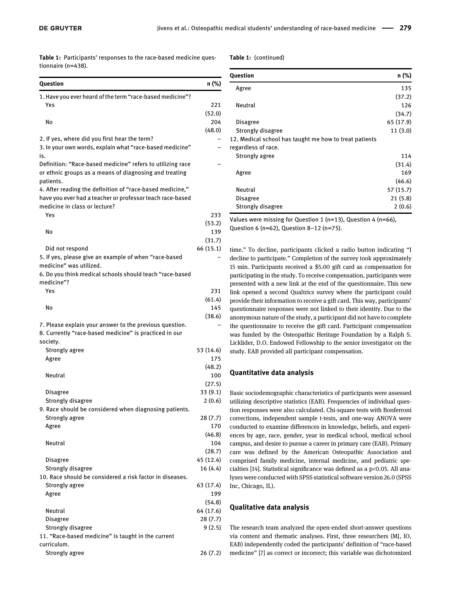<span id="page-2-0"></span>Table 1: Participants' responses to the race-based medicine questionnaire (n=438).

#### Table 1: (continued)

| Question                                                                                                             | n (%)     |
|----------------------------------------------------------------------------------------------------------------------|-----------|
| 1. Have you ever heard of the term "race-based medicine"?                                                            |           |
| Yes                                                                                                                  | 221       |
|                                                                                                                      | (52.0)    |
| No                                                                                                                   | 204       |
|                                                                                                                      | (48.0)    |
| 2. If yes, where did you first hear the term?                                                                        |           |
| 3. In your own words, explain what "race-based medicine"                                                             |           |
| is.                                                                                                                  |           |
| Definition: "Race-based medicine" refers to utilizing race<br>or ethnic groups as a means of diagnosing and treating |           |
| patients.                                                                                                            |           |
| 4. After reading the definition of "race-based medicine,"                                                            |           |
| have you ever had a teacher or professor teach race-based                                                            |           |
| medicine in class or lecture?                                                                                        |           |
| Yes                                                                                                                  | 233       |
|                                                                                                                      | (53.2)    |
| No                                                                                                                   | 139       |
|                                                                                                                      | (31.7)    |
| Did not respond                                                                                                      | 66 (15.1) |
| 5. If yes, please give an example of when "race-based<br>medicine" was utilized.                                     |           |
| 6. Do you think medical schools should teach "race-based<br>medicine"?                                               |           |
| Yes                                                                                                                  | 231       |
|                                                                                                                      | (61.4)    |
| No                                                                                                                   | 145       |
|                                                                                                                      | (38.6)    |
| 7. Please explain your answer to the previous question.<br>8. Currently "race-based medicine" is practiced in our    |           |
| society.                                                                                                             |           |
| Strongly agree                                                                                                       | 53 (14.6) |
| Agree                                                                                                                | 175       |
|                                                                                                                      | (48.2)    |
| Neutral                                                                                                              | 100       |
|                                                                                                                      | (27.5)    |
| Disagree                                                                                                             | 33 (9.1)  |
| Strongly disagree                                                                                                    | 2(0.6)    |
| 9. Race should be considered when diagnosing patients.                                                               |           |
| Strongly agree                                                                                                       | 28(7.7)   |
| Agree                                                                                                                | 170       |
|                                                                                                                      | (46.8)    |
| <b>Neutral</b>                                                                                                       | 104       |
|                                                                                                                      | (28.7)    |
| <b>Disagree</b>                                                                                                      | 45 (12.4) |
| Strongly disagree                                                                                                    | 16 (4.4)  |
| 10. Race should be considered a risk factor in diseases.                                                             |           |
| Strongly agree                                                                                                       | 63 (17.4) |
| Agree                                                                                                                | 199       |
|                                                                                                                      | (54.8)    |
| Neutral                                                                                                              | 64 (17.6) |
| Disagree                                                                                                             | 28(7.7)   |
| Strongly disagree                                                                                                    | 9(2.5)    |
| 11. "Race-based medicine" is taught in the current                                                                   |           |
| curriculum.                                                                                                          |           |
| Strongly agree                                                                                                       | 26(7.2)   |

| Question                                                                      | n (%)     |
|-------------------------------------------------------------------------------|-----------|
| Agree                                                                         | 135       |
|                                                                               | (37.2)    |
| Neutral                                                                       | 126       |
|                                                                               | (34.7)    |
| Disagree                                                                      | 65 (17.9) |
| Strongly disagree                                                             | 11(3.0)   |
| 12. Medical school has taught me how to treat patients<br>regardless of race. |           |
| Strongly agree                                                                | 114       |
|                                                                               | (31.4)    |
| Agree                                                                         | 169       |
|                                                                               | (46.6)    |
| Neutral                                                                       | 57(15.7)  |
| Disagree                                                                      | 21(5.8)   |
| Strongly disagree                                                             | 2(0.6)    |

Values were missing for Question 1 (n=13), Question 4 (n=66), Question 6 (n=62), Question 8-12 (n=75).

time." To decline, participants clicked a radio button indicating "I decline to participate." Completion of the survey took approximately 15 min. Participants received a \$5.00 gift card as compensation for participating in the study. To receive compensation, participants were presented with a new link at the end of the questionnaire. This new link opened a second Qualtrics survey where the participant could provide their information to receive a gift card. This way, participants' questionnaire responses were not linked to their identity. Due to the anonymous nature of the study, a participant did not have to complete the questionnaire to receive the gift card. Participant compensation was funded by the Osteopathic Heritage Foundation by a Ralph S. Licklider, D.O. Endowed Fellowship to the senior investigator on the study. EAB provided all participant compensation.

#### Quantitative data analysis

Basic sociodemographic characteristics of participants were assessed utilizing descriptive statistics (EAB). Frequencies of individual question responses were also calculated. Chi-square tests with Bonferroni corrections, independent sample t-tests, and one-way ANOVA were conducted to examine differences in knowledge, beliefs, and experiences by age, race, gender, year in medical school, medical school campus, and desire to pursue a career in primary care (EAB). Primary care was defined by the American Osteopathic Association and comprised family medicine, internal medicine, and pediatric specialties [\[14\]](#page-9-13). Statistical significance was defined as a p<0.05. All analyses were conducted with SPSS statistical software version 26.0 (SPSS Inc, Chicago, IL).

#### Qualitative data analysis

The research team analyzed the open-ended short-answer questions via content and thematic analyses. First, three researchers (MJ, IO, EAB) independently coded the participants' definition of "race-based medicine" [\[7](#page-9-6)] as correct or incorrect; this variable was dichotomized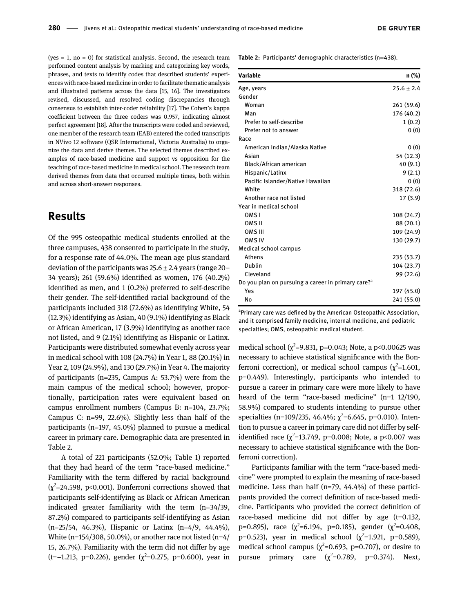(yes  $= 1$ , no  $= 0$ ) for statistical analysis. Second, the research team performed content analysis by marking and categorizing key words, phrases, and texts to identify codes that described students' experiences with race-based medicine in order to facilitate thematic analysis and illustrated patterns across the data [\[15](#page-9-14), [16\]](#page-9-15). The investigators revised, discussed, and resolved coding discrepancies through consensus to establish inter-coder reliability [[17\]](#page-9-16). The Cohen's kappa coefficient between the three coders was 0.957, indicating almost perfect agreement [\[18\]](#page-9-17). After the transcripts were coded and reviewed, one member of the research team (EAB) entered the coded transcripts in NVivo 12 software (QSR International, Victoria Australia) to organize the data and derive themes. The selected themes described examples of race-based medicine and support vs opposition for the teaching of race-based medicine in medical school. The research team derived themes from data that occurred multiple times, both within and across short-answer responses.

### Results

Of the 995 osteopathic medical students enrolled at the three campuses, 438 consented to participate in the study, for a response rate of 44.0%. The mean age plus standard deviation of the participants was  $25.6 \pm 2.4$  years (range 20– 34 years); 261 (59.6%) identified as women, 176 (40.2%) identified as men, and 1 (0.2%) preferred to self-describe their gender. The self-identified racial background of the participants included 318 (72.6%) as identifying White, 54 (12.3%) identifying as Asian, 40 (9.1%) identifying as Black or African American, 17 (3.9%) identifying as another race not listed, and 9 (2.1%) identifying as Hispanic or Latinx. Participants were distributed somewhat evenly across year in medical school with 108 (24.7%) in Year 1, 88 (20.1%) in Year 2, 109 (24.9%), and 130 (29.7%) in Year 4. The majority of participants (n=235, Campus A: 53.7%) were from the main campus of the medical school; however, proportionally, participation rates were equivalent based on campus enrollment numbers (Campus B: n=104, 23.7%; Campus C: n=99, 22.6%). Slightly less than half of the participants (n=197, 45.0%) planned to pursue a medical career in primary care. Demographic data are presented in [Table 2](#page-3-0).

A total of 221 participants (52.0%; [Table 1](#page-2-0)) reported that they had heard of the term "race-based medicine." Familiarity with the term differed by racial background  $(\chi^2$ =24.598, p<0.001). Bonferroni corrections showed that participants self-identifying as Black or African American indicated greater familiarity with the term (n=34/39, 87.2%) compared to participants self-identifying as Asian (n=25/54, 46.3%), Hispanic or Latinx (n=4/9, 44.4%), White (n=154/308, 50.0%), or another race not listed (n=4/ 15, 26.7%). Familiarity with the term did not differ by age (t=−1.213, p=0.226), gender (χ<sup>2</sup>=0.275, p=0.600), year in

<span id="page-3-0"></span>Table 2: Participants' demographic characteristics (n=438).

| Variable                                                       | n (%)          |
|----------------------------------------------------------------|----------------|
| Age, years                                                     | $25.6 \pm 2.4$ |
| Gender                                                         |                |
| Woman                                                          | 261 (59.6)     |
| Man                                                            | 176 (40.2)     |
| Prefer to self-describe                                        | 1(0.2)         |
| Prefer not to answer                                           | 0(0)           |
| Race                                                           |                |
| American Indian/Alaska Native                                  | 0(0)           |
| Asian                                                          | 54 (12.3)      |
| Black/African american                                         | 40(9.1)        |
| Hispanic/Latinx                                                | 9(2.1)         |
| Pacific Islander/Native Hawaiian                               | 0(0)           |
| White                                                          | 318 (72.6)     |
| Another race not listed                                        | 17(3.9)        |
| Year in medical school                                         |                |
| OMS <sub>I</sub>                                               | 108 (24.7)     |
| OMS <sub>II</sub>                                              | 88 (20.1)      |
| OMS III                                                        | 109 (24.9)     |
| <b>OMS IV</b>                                                  | 130 (29.7)     |
| Medical school campus                                          |                |
| Athens                                                         | 235 (53.7)     |
| Dublin                                                         | 104 (23.7)     |
| Cleveland                                                      | 99 (22.6)      |
| Do you plan on pursuing a career in primary care? <sup>a</sup> |                |
| Yes                                                            | 197 (45.0)     |
| No                                                             | 241 (55.0)     |

<sup>a</sup>Primary care was defined by the American Osteopathic Association, and it comprised family medicine, internal medicine, and pediatric specialties; OMS, osteopathic medical student.

medical school ( $\chi^2$ =9.831, p=0.043; Note, a p<0.00625 was necessary to achieve statistical significance with the Bonferroni correction), or medical school campus  $(\chi^2=1.601,$ p=0.449). Interestingly, participants who intended to pursue a career in primary care were more likely to have heard of the term "race-based medicine" (n=1 12/190, 58.9%) compared to students intending to pursue other specialties (n=109/235, 46.4%;  $\chi^2$ =6.645, p=0.010). Intention to pursue a career in primary care did not differ by selfidentified race  $(\chi^2$ =13.749, p=0.008; Note, a p<0.007 was necessary to achieve statistical significance with the Bonferroni correction).

Participants familiar with the term "race-based medicine" were prompted to explain the meaning of race-based medicine. Less than half (n=79, 44.4%) of these participants provided the correct definition of race-based medicine. Participants who provided the correct definition of race-based medicine did not differ by age (t=0.132, p=0.895), race ( $\chi^2$ =6.194, p=0.185), gender ( $\chi^2$ =0.408, p=0.523), year in medical school  $(\chi^2=1.921, p=0.589)$ , medical school campus ( $\chi^2$ =0.693, p=0.707), or desire to pursue primary care  $(\chi^2=0.789, p=0.374)$ . Next,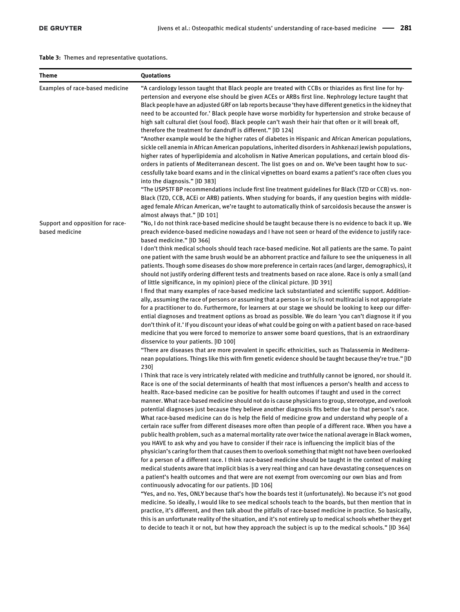<span id="page-4-0"></span>Table 3: Themes and representative quotations.

| <b>Theme</b>                                               | Quotations                                                                                                                                                                                                                                                                                                                                                                                                                                                                                                                                                                                                                                                                                                                                                                                                                                                                                                                                                                                                                                                                                                                                                                                                                                                                                                                                                                                                                                                              |
|------------------------------------------------------------|-------------------------------------------------------------------------------------------------------------------------------------------------------------------------------------------------------------------------------------------------------------------------------------------------------------------------------------------------------------------------------------------------------------------------------------------------------------------------------------------------------------------------------------------------------------------------------------------------------------------------------------------------------------------------------------------------------------------------------------------------------------------------------------------------------------------------------------------------------------------------------------------------------------------------------------------------------------------------------------------------------------------------------------------------------------------------------------------------------------------------------------------------------------------------------------------------------------------------------------------------------------------------------------------------------------------------------------------------------------------------------------------------------------------------------------------------------------------------|
| Examples of race-based medicine                            | "A cardiology lesson taught that Black people are treated with CCBs or thiazides as first line for hy-<br>pertension and everyone else should be given ACEs or ARBs first line. Nephrology lecture taught that<br>Black people have an adjusted GRF on lab reports because 'they have different genetics in the kidney that<br>need to be accounted for.' Black people have worse morbidity for hypertension and stroke because of<br>high salt cultural diet (soul food). Black people can't wash their hair that often or it will break off,<br>therefore the treatment for dandruff is different." [ID 124]<br>"Another example would be the higher rates of diabetes in Hispanic and African American populations,<br>sickle cell anemia in African American populations, inherited disorders in Ashkenazi Jewish populations,<br>higher rates of hyperlipidemia and alcoholism in Native American populations, and certain blood dis-<br>orders in patients of Mediterranean descent. The list goes on and on. We've been taught how to suc-<br>cessfully take board exams and in the clinical vignettes on board exams a patient's race often clues you<br>into the diagnosis." [ID 383]<br>"The USPSTF BP recommendations include first line treatment guidelines for Black (TZD or CCB) vs. non-                                                                                                                                                                |
|                                                            | Black (TZD, CCB, ACEI or ARB) patients. When studying for boards, if any question begins with middle-<br>aged female African American, we're taught to automatically think of sarcoidosis because the answer is<br>almost always that." [ID 101]                                                                                                                                                                                                                                                                                                                                                                                                                                                                                                                                                                                                                                                                                                                                                                                                                                                                                                                                                                                                                                                                                                                                                                                                                        |
| Support and opposition for race-<br>based medicine<br>230] | "No, I do not think race-based medicine should be taught because there is no evidence to back it up. We<br>preach evidence-based medicine nowadays and I have not seen or heard of the evidence to justify race-<br>based medicine." [ID 366]                                                                                                                                                                                                                                                                                                                                                                                                                                                                                                                                                                                                                                                                                                                                                                                                                                                                                                                                                                                                                                                                                                                                                                                                                           |
|                                                            | I don't think medical schools should teach race-based medicine. Not all patients are the same. To paint<br>one patient with the same brush would be an abhorrent practice and failure to see the uniqueness in all<br>patients. Though some diseases do show more preference in certain races (and larger, demographics), it<br>should not justify ordering different tests and treatments based on race alone. Race is only a small (and<br>of little significance, in my opinion) piece of the clinical picture. [ID 391]<br>I find that many examples of race-based medicine lack substantiated and scientific support. Addition-<br>ally, assuming the race of persons or assuming that a person is or is/is not multiracial is not appropriate<br>for a practitioner to do. Furthermore, for learners at our stage we should be looking to keep our differ-<br>ential diagnoses and treatment options as broad as possible. We do learn 'you can't diagnose it if you<br>don't think of it.' If you discount your ideas of what could be going on with a patient based on race-based<br>medicine that you were forced to memorize to answer some board questions, that is an extraordinary<br>disservice to your patients. [ID 100]                                                                                                                                                                                                                                |
|                                                            | "There are diseases that are more prevalent in specific ethnicities, such as Thalassemia in Mediterra-<br>nean populations. Things like this with firm genetic evidence should be taught because they're true." [ID                                                                                                                                                                                                                                                                                                                                                                                                                                                                                                                                                                                                                                                                                                                                                                                                                                                                                                                                                                                                                                                                                                                                                                                                                                                     |
|                                                            | I Think that race is very intricately related with medicine and truthfully cannot be ignored, nor should it.<br>Race is one of the social determinants of health that most influences a person's health and access to<br>health. Race-based medicine can be positive for health outcomes if taught and used in the correct<br>manner. What race-based medicine should not do is cause physicians to group, stereotype, and overlook<br>potential diagnoses just because they believe another diagnosis fits better due to that person's race.<br>What race-based medicine can do is help the field of medicine grow and understand why people of a<br>certain race suffer from different diseases more often than people of a different race. When you have a<br>public health problem, such as a maternal mortality rate over twice the national average in Black women,<br>you HAVE to ask why and you have to consider if their race is influencing the implicit bias of the<br>physician's caring for them that causes them to overlook something that might not have been overlooked<br>for a person of a different race. I think race-based medicine should be taught in the context of making<br>medical students aware that implicit bias is a very real thing and can have devastating consequences on<br>a patient's health outcomes and that were are not exempt from overcoming our own bias and from<br>continuously advocating for our patients. [ID 106] |
|                                                            | "Yes, and no. Yes, ONLY because that's how the boards test it (unfortunately). No because it's not good<br>medicine. So ideally, I would like to see medical schools teach to the boards, but then mention that in<br>practice, it's different, and then talk about the pitfalls of race-based medicine in practice. So basically,<br>this is an unfortunate reality of the situation, and it's not entirely up to medical schools whether they get<br>to decide to teach it or not, but how they approach the subject is up to the medical schools." [ID 364]                                                                                                                                                                                                                                                                                                                                                                                                                                                                                                                                                                                                                                                                                                                                                                                                                                                                                                          |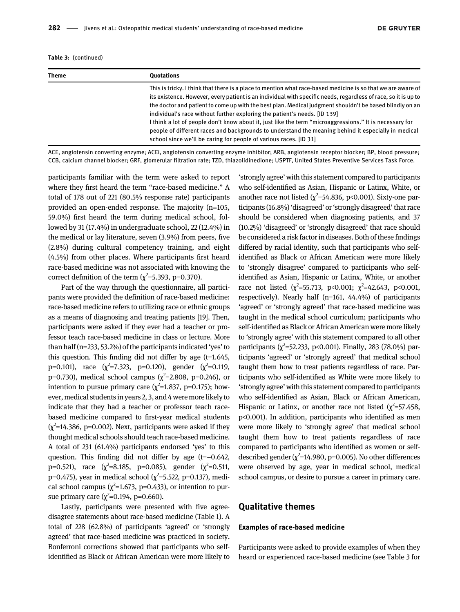Table 3: (continued)

| Theme | <b>Ouotations</b>                                                                                                                                                                                                                                                                                                                                                                                                                                                                                                                                                                                                                                                                                             |
|-------|---------------------------------------------------------------------------------------------------------------------------------------------------------------------------------------------------------------------------------------------------------------------------------------------------------------------------------------------------------------------------------------------------------------------------------------------------------------------------------------------------------------------------------------------------------------------------------------------------------------------------------------------------------------------------------------------------------------|
|       | This is tricky. I think that there is a place to mention what race-based medicine is so that we are aware of<br>its existence. However, every patient is an individual with specific needs, regardless of race, so it is up to<br>the doctor and patient to come up with the best plan. Medical judgment shouldn't be based blindly on an<br>individual's race without further exploring the patient's needs. [ID 139]<br>I think a lot of people don't know about it, just like the term "microaggressions." It is necessary for<br>people of different races and backgrounds to understand the meaning behind it especially in medical<br>school since we'll be caring for people of various races. [ID 31] |

ACE, angiotensin converting enzyme; ACEi, angiotensin converting enzyme inhibitor; ARB, angiotensin receptor blocker; BP, blood pressure; CCB, calcium channel blocker; GRF, glomerular filtration rate; TZD, thiazolidinedione; USPTF, United States Preventive Services Task Force.

participants familiar with the term were asked to report where they first heard the term "race-based medicine." A total of 178 out of 221 (80.5% response rate) participants provided an open-ended response. The majority (n=105, 59.0%) first heard the term during medical school, followed by 31 (17.4%) in undergraduate school, 22 (12.4%) in the medical or lay literature, seven (3.9%) from peers, five (2.8%) during cultural competency training, and eight (4.5%) from other places. Where participants first heard race-based medicine was not associated with knowing the correct definition of the term ( $\chi^2$ =5.393, p=0.370).

Part of the way through the questionnaire, all participants were provided the definition of race-based medicine: race-based medicine refers to utilizing race or ethnic groups as a means of diagnosing and treating patients [\[19\]](#page-10-0). Then, participants were asked if they ever had a teacher or professor teach race-based medicine in class or lecture. More than half (n=233, 53.2%) of the participants indicated 'yes' to this question. This finding did not differ by age  $(t=1.645,$ p=0.101), race  $(\chi^2=7.323, p=0.120)$ , gender  $(\chi^2=0.119,$ p=0.730), medical school campus ( $\chi^2$ =2.808, p=0.246), or intention to pursue primary care ( $\chi^2$ =1.837, p=0.175); however, medical students in years 2, 3, and 4 were more likely to indicate that they had a teacher or professor teach racebased medicine compared to first-year medical students  $(\chi^2=14.386, p=0.002)$ . Next, participants were asked if they thought medical schools should teach race-based medicine. A total of 231 (61.4%) participants endorsed 'yes' to this question. This finding did not differ by age (t=−0.642, p=0.521), race  $(\chi^2=8.185, p=0.085)$ , gender  $(\chi^2=0.511,$ p=0.475), year in medical school ( $\chi^2$ =5.522, p=0.137), medical school campus  $(\chi^2=1.673, p=0.433)$ , or intention to pursue primary care ( $\chi^2$ =0.194, p=0.660).

Lastly, participants were presented with five agreedisagree statements about race-based medicine ([Table 1\)](#page-2-0). A total of 228 (62.8%) of participants 'agreed' or 'strongly agreed' that race-based medicine was practiced in society. Bonferroni corrections showed that participants who selfidentified as Black or African American were more likely to

'strongly agree' with this statement compared to participants who self-identified as Asian, Hispanic or Latinx, White, or another race not listed ( $\chi^2$ =54.836, p<0.001). Sixty-one participants (16.8%) 'disagreed' or'strongly disagreed' that race should be considered when diagnosing patients, and 37 (10.2%) 'disagreed' or 'strongly disagreed' that race should be considered a risk factor in diseases. Both of these findings differed by racial identity, such that participants who selfidentified as Black or African American were more likely to 'strongly disagree' compared to participants who selfidentified as Asian, Hispanic or Latinx, White, or another race not listed  $(\chi^2 = 55.713, \text{ p} < 0.001; \chi^2 = 42.643, \text{ p} < 0.001,$ respectively). Nearly half (n=161, 44.4%) of participants 'agreed' or 'strongly agreed' that race-based medicine was taught in the medical school curriculum; participants who self-identified as Black or African American were more likely to 'strongly agree' with this statement compared to all other participants  $(\chi^2 = 52.233, \, \text{p} < 0.001)$ . Finally, 283 (78.0%) participants 'agreed' or 'strongly agreed' that medical school taught them how to treat patients regardless of race. Participants who self-identified as White were more likely to 'strongly agree' with this statement compared to participants who self-identified as Asian, Black or African American, Hispanic or Latinx, or another race not listed  $(\chi^2=57.458,$ p<0.001). In addition, participants who identified as men were more likely to 'strongly agree' that medical school taught them how to treat patients regardless of race compared to participants who identified as women or selfdescribed gender ( $\chi^2$ =14.980, p=0.005). No other differences were observed by age, year in medical school, medical school campus, or desire to pursue a career in primary care.

#### Qualitative themes

#### Examples of race-based medicine

Participants were asked to provide examples of when they heard or experienced race-based medicine (see [Table 3](#page-4-0) for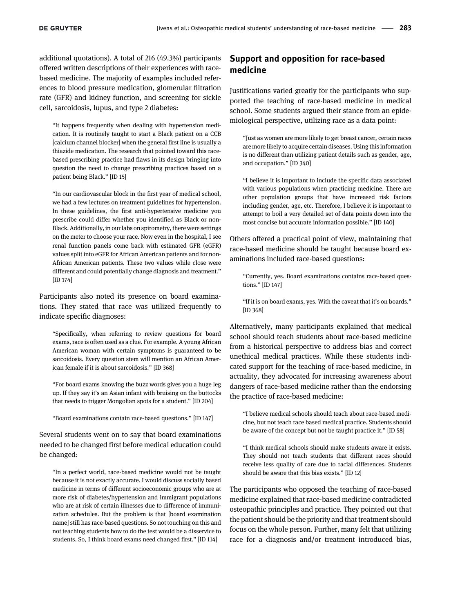additional quotations). A total of 216 (49.3%) participants offered written descriptions of their experiences with racebased medicine. The majority of examples included references to blood pressure medication, glomerular filtration rate (GFR) and kidney function, and screening for sickle cell, sarcoidosis, lupus, and type 2 diabetes:

"It happens frequently when dealing with hypertension medication. It is routinely taught to start a Black patient on a CCB [calcium channel blocker] when the general first line is usually a thiazide medication. The research that pointed toward this racebased prescribing practice had flaws in its design bringing into question the need to change prescribing practices based on a patient being Black." [ID 15]

"In our cardiovascular block in the first year of medical school, we had a few lectures on treatment guidelines for hypertension. In these guidelines, the first anti-hypertensive medicine you prescribe could differ whether you identified as Black or non-Black. Additionally, in our labs on spirometry, there were settings on the meter to choose your race. Now even in the hospital, I see renal function panels come back with estimated GFR (eGFR) values split into eGFR for African American patients and for non-African American patients. These two values while close were different and could potentially change diagnosis and treatment." [ID 174]

Participants also noted its presence on board examinations. They stated that race was utilized frequently to indicate specific diagnoses:

"Specifically, when referring to review questions for board exams, race is often used as a clue. For example. A young African American woman with certain symptoms is guaranteed to be sarcoidosis. Every question stem will mention an African American female if it is about sarcoidosis." [ID 368]

"For board exams knowing the buzz words gives you a huge leg up. If they say it's an Asian infant with bruising on the buttocks that needs to trigger Mongolian spots for a student." [ID 204]

"Board examinations contain race-based questions." [ID 147]

Several students went on to say that board examinations needed to be changed first before medical education could be changed:

"In a perfect world, race-based medicine would not be taught because it is not exactly accurate. I would discuss socially based medicine in terms of different socioeconomic groups who are at more risk of diabetes/hypertension and immigrant populations who are at risk of certain illnesses due to difference of immunization schedules. But the problem is that [board examination name] still has race-based questions. So not touching on this and not teaching students how to do the test would be a disservice to students. So, I think board exams need changed first." [ID 114]

### Support and opposition for race-based medicine

Justifications varied greatly for the participants who supported the teaching of race-based medicine in medical school. Some students argued their stance from an epidemiological perspective, utilizing race as a data point:

"Just as women are more likely to get breast cancer, certain races are more likely to acquire certain diseases. Using this information is no different than utilizing patient details such as gender, age, and occupation." [ID 340]

"I believe it is important to include the specific data associated with various populations when practicing medicine. There are other population groups that have increased risk factors including gender, age, etc. Therefore, I believe it is important to attempt to boil a very detailed set of data points down into the most concise but accurate information possible." [ID 140]

Others offered a practical point of view, maintaining that race-based medicine should be taught because board examinations included race-based questions:

"Currently, yes. Board examinations contains race-based questions." [ID 147]

"If it is on board exams, yes. With the caveat that it's on boards." [ID 368]

Alternatively, many participants explained that medical school should teach students about race-based medicine from a historical perspective to address bias and correct unethical medical practices. While these students indicated support for the teaching of race-based medicine, in actuality, they advocated for increasing awareness about dangers of race-based medicine rather than the endorsing the practice of race-based medicine:

"I believe medical schools should teach about race-based medicine, but not teach race based medical practice. Students should be aware of the concept but not be taught practice it." [ID 58]

"I think medical schools should make students aware it exists. They should not teach students that different races should receive less quality of care due to racial differences. Students should be aware that this bias exists." [ID 12]

The participants who opposed the teaching of race-based medicine explained that race-based medicine contradicted osteopathic principles and practice. They pointed out that the patient should be the priority and that treatment should focus on the whole person. Further, many felt that utilizing race for a diagnosis and/or treatment introduced bias,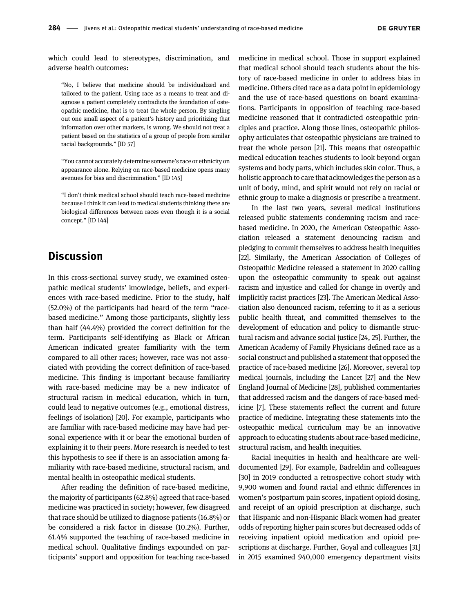which could lead to stereotypes, discrimination, and adverse health outcomes:

"No, I believe that medicine should be individualized and tailored to the patient. Using race as a means to treat and diagnose a patient completely contradicts the foundation of osteopathic medicine, that is to treat the whole person. By singling out one small aspect of a patient's history and prioritizing that information over other markers, is wrong. We should not treat a patient based on the statistics of a group of people from similar racial backgrounds." [ID 57]

"You cannot accurately determine someone's race or ethnicity on appearance alone. Relying on race-based medicine opens many avenues for bias and discrimination." [ID 145]

"I don't think medical school should teach race-based medicine because I think it can lead to medical students thinking there are biological differences between races even though it is a social concept." [ID 144]

### **Discussion**

In this cross-sectional survey study, we examined osteopathic medical students' knowledge, beliefs, and experiences with race-based medicine. Prior to the study, half (52.0%) of the participants had heard of the term "racebased medicine." Among those participants, slightly less than half (44.4%) provided the correct definition for the term. Participants self-identifying as Black or African American indicated greater familiarity with the term compared to all other races; however, race was not associated with providing the correct definition of race-based medicine. This finding is important because familiarity with race-based medicine may be a new indicator of structural racism in medical education, which in turn, could lead to negative outcomes (e.g., emotional distress, feelings of isolation) [[20](#page-10-1)]. For example, participants who are familiar with race-based medicine may have had personal experience with it or bear the emotional burden of explaining it to their peers. More research is needed to test this hypothesis to see if there is an association among familiarity with race-based medicine, structural racism, and mental health in osteopathic medical students.

After reading the definition of race-based medicine, the majority of participants (62.8%) agreed that race-based medicine was practiced in society; however, few disagreed that race should be utilized to diagnose patients (16.8%) or be considered a risk factor in disease (10.2%). Further, 61.4% supported the teaching of race-based medicine in medical school. Qualitative findings expounded on participants' support and opposition for teaching race-based medicine in medical school. Those in support explained that medical school should teach students about the history of race-based medicine in order to address bias in medicine. Others cited race as a data point in epidemiology and the use of race-based questions on board examinations. Participants in opposition of teaching race-based medicine reasoned that it contradicted osteopathic principles and practice. Along those lines, osteopathic philosophy articulates that osteopathic physicians are trained to treat the whole person [[21\]](#page-10-2). This means that osteopathic medical education teaches students to look beyond organ systems and body parts, which includes skin color. Thus, a holistic approach to care that acknowledges the person as a unit of body, mind, and spirit would not rely on racial or ethnic group to make a diagnosis or prescribe a treatment.

In the last two years, several medical institutions released public statements condemning racism and racebased medicine. In 2020, the American Osteopathic Association released a statement denouncing racism and pledging to commit themselves to address health inequities [[22\]](#page-10-3). Similarly, the American Association of Colleges of Osteopathic Medicine released a statement in 2020 calling upon the osteopathic community to speak out against racism and injustice and called for change in overtly and implicitly racist practices [\[23\]](#page-10-4). The American Medical Association also denounced racism, referring to it as a serious public health threat, and committed themselves to the development of education and policy to dismantle structural racism and advance social justice [[24,](#page-10-5) [25\]](#page-10-6). Further, the American Academy of Family Physicians defined race as a social construct and published a statement that opposed the practice of race-based medicine [\[26](#page-10-7)]. Moreover, several top medical journals, including the Lancet [[27\]](#page-10-8) and the New England Journal of Medicine [[28\]](#page-10-9), published commentaries that addressed racism and the dangers of race-based medicine [[7](#page-9-6)]. These statements reflect the current and future practice of medicine. Integrating these statements into the osteopathic medical curriculum may be an innovative approach to educating students about race-based medicine, structural racism, and health inequities.

Racial inequities in health and healthcare are welldocumented [\[29](#page-10-10)]. For example, Badreldin and colleagues [[30\]](#page-10-11) in 2019 conducted a retrospective cohort study with 9,900 women and found racial and ethnic differences in women's postpartum pain scores, inpatient opioid dosing, and receipt of an opioid prescription at discharge, such that Hispanic and non-Hispanic Black women had greater odds of reporting higher pain scores but decreased odds of receiving inpatient opioid medication and opioid prescriptions at discharge. Further, Goyal and colleagues [\[31](#page-10-12)] in 2015 examined 940,000 emergency department visits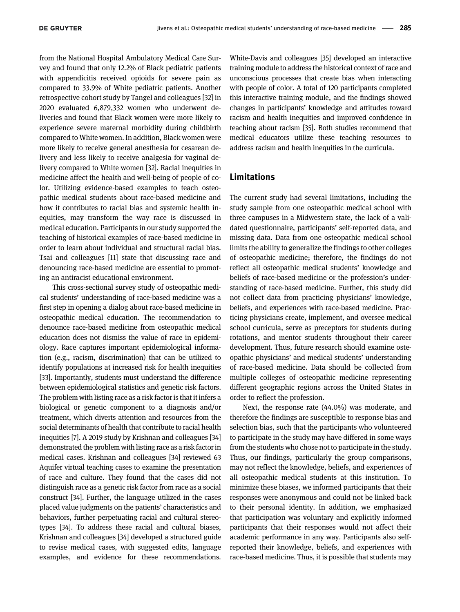from the National Hospital Ambulatory Medical Care Survey and found that only 12.2% of Black pediatric patients with appendicitis received opioids for severe pain as compared to 33.9% of White pediatric patients. Another retrospective cohort study by Tangel and colleagues [[32](#page-10-13)] in 2020 evaluated 6,879,332 women who underwent deliveries and found that Black women were more likely to experience severe maternal morbidity during childbirth compared to White women. In addition, Black women were more likely to receive general anesthesia for cesarean delivery and less likely to receive analgesia for vaginal delivery compared to White women [[32](#page-10-13)]. Racial inequities in medicine affect the health and well-being of people of color. Utilizing evidence-based examples to teach osteopathic medical students about race-based medicine and how it contributes to racial bias and systemic health inequities, may transform the way race is discussed in medical education. Participants in our study supported the teaching of historical examples of race-based medicine in order to learn about individual and structural racial bias. Tsai and colleagues [[11](#page-9-10)] state that discussing race and denouncing race-based medicine are essential to promoting an antiracist educational environment.

This cross-sectional survey study of osteopathic medical students' understanding of race-based medicine was a first step in opening a dialog about race-based medicine in osteopathic medical education. The recommendation to denounce race-based medicine from osteopathic medical education does not dismiss the value of race in epidemiology. Race captures important epidemiological information (e.g., racism, discrimination) that can be utilized to identify populations at increased risk for health inequities [[33\]](#page-10-14). Importantly, students must understand the difference between epidemiological statistics and genetic risk factors. The problem with listing race as a risk factor is that it infers a biological or genetic component to a diagnosis and/or treatment, which diverts attention and resources from the social determinants of health that contribute to racial health inequities [\[7](#page-9-6)]. A 2019 study by Krishnan and colleagues [\[34\]](#page-10-15) demonstrated the problem with listing race as a risk factor in medical cases. Krishnan and colleagues [\[34\]](#page-10-15) reviewed 63 Aquifer virtual teaching cases to examine the presentation of race and culture. They found that the cases did not distinguish race as a genetic risk factor from race as a social construct [\[34\]](#page-10-15). Further, the language utilized in the cases placed value judgments on the patients' characteristics and behaviors, further perpetuating racial and cultural stereotypes [[34](#page-10-15)]. To address these racial and cultural biases, Krishnan and colleagues [\[34](#page-10-15)] developed a structured guide to revise medical cases, with suggested edits, language examples, and evidence for these recommendations.

White-Davis and colleagues [\[35](#page-10-16)] developed an interactive training module to address the historical context of race and unconscious processes that create bias when interacting with people of color. A total of 120 participants completed this interactive training module, and the findings showed changes in participants' knowledge and attitudes toward racism and health inequities and improved confidence in teaching about racism [[35](#page-10-16)]. Both studies recommend that medical educators utilize these teaching resources to address racism and health inequities in the curricula.

### Limitations

The current study had several limitations, including the study sample from one osteopathic medical school with three campuses in a Midwestern state, the lack of a validated questionnaire, participants' self-reported data, and missing data. Data from one osteopathic medical school limits the ability to generalize the findings to other colleges of osteopathic medicine; therefore, the findings do not reflect all osteopathic medical students' knowledge and beliefs of race-based medicine or the profession's understanding of race-based medicine. Further, this study did not collect data from practicing physicians' knowledge, beliefs, and experiences with race-based medicine. Practicing physicians create, implement, and oversee medical school curricula, serve as preceptors for students during rotations, and mentor students throughout their career development. Thus, future research should examine osteopathic physicians' and medical students' understanding of race-based medicine. Data should be collected from multiple colleges of osteopathic medicine representing different geographic regions across the United States in order to reflect the profession.

Next, the response rate (44.0%) was moderate, and therefore the findings are susceptible to response bias and selection bias, such that the participants who volunteered to participate in the study may have differed in some ways from the students who chose not to participate in the study. Thus, our findings, particularly the group comparisons, may not reflect the knowledge, beliefs, and experiences of all osteopathic medical students at this institution. To minimize these biases, we informed participants that their responses were anonymous and could not be linked back to their personal identity. In addition, we emphasized that participation was voluntary and explicitly informed participants that their responses would not affect their academic performance in any way. Participants also selfreported their knowledge, beliefs, and experiences with race-based medicine. Thus, it is possible that students may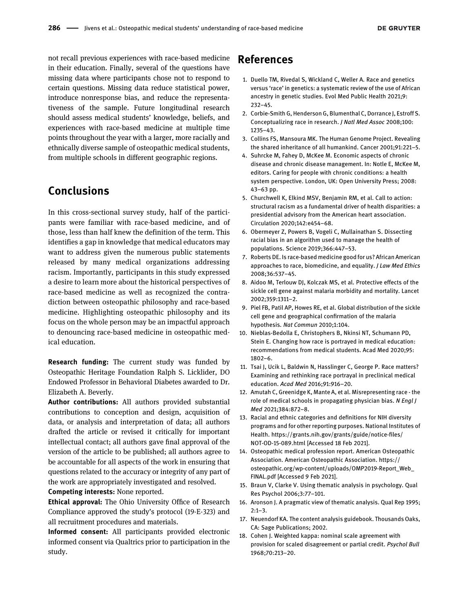not recall previous experiences with race-based medicine in their education. Finally, several of the questions have missing data where participants chose not to respond to certain questions. Missing data reduce statistical power, introduce nonresponse bias, and reduce the representativeness of the sample. Future longitudinal research should assess medical students' knowledge, beliefs, and experiences with race-based medicine at multiple time points throughout the year with a larger, more racially and ethnically diverse sample of osteopathic medical students, from multiple schools in different geographic regions.

### Conclusions

In this cross-sectional survey study, half of the participants were familiar with race-based medicine, and of those, less than half knew the definition of the term. This identifies a gap in knowledge that medical educators may want to address given the numerous public statements released by many medical organizations addressing racism. Importantly, participants in this study expressed a desire to learn more about the historical perspectives of race-based medicine as well as recognized the contradiction between osteopathic philosophy and race-based medicine. Highlighting osteopathic philosophy and its focus on the whole person may be an impactful approach to denouncing race-based medicine in osteopathic medical education.

**Research funding:** The current study was funded by Osteopathic Heritage Foundation Ralph S. Licklider, DO Endowed Professor in Behavioral Diabetes awarded to Dr. Elizabeth A. Beverly.

Author contributions: All authors provided substantial contributions to conception and design, acquisition of data, or analysis and interpretation of data; all authors drafted the article or revised it critically for important intellectual contact; all authors gave final approval of the version of the article to be published; all authors agree to be accountable for all aspects of the work in ensuring that questions related to the accuracy or integrity of any part of the work are appropriately investigated and resolved.

Competing interests: None reported.

Ethical approval: The Ohio University Office of Research Compliance approved the study's protocol (19-E-323) and all recruitment procedures and materials.

Informed consent: All participants provided electronic informed consent via Qualtrics prior to participation in the study.

### References

- <span id="page-9-1"></span>1. Duello TM, Rivedal S, Wickland C, Weller A. Race and genetics versus 'race' in genetics: a systematic review of the use of African ancestry in genetic studies. Evol Med Public Health 2021;9: 232–45.
- <span id="page-9-0"></span>2. Corbie-Smith G, Henderson G, Blumenthal C, Dorrance J, Estroff S. Conceptualizing race in research. J Natl Med Assoc 2008;100: 1235–43.
- <span id="page-9-2"></span>3. Collins FS, Mansoura MK. The Human Genome Project. Revealing the shared inheritance of all humankind. Cancer 2001;91:221–5.
- <span id="page-9-3"></span>4. Suhrcke M, Fahey D, McKee M. Economic aspects of chronic disease and chronic disease management. In: Notle E, McKee M, editors. Caring for people with chronic conditions: a health system perspective. London, UK: Open University Press; 2008: 43–63 pp.
- <span id="page-9-4"></span>5. Churchwell K, Elkind MSV, Benjamin RM, et al. Call to action: structural racism as a fundamental driver of health disparities: a presidential advisory from the American heart association. Circulation 2020;142:e454–68.
- <span id="page-9-5"></span>6. Obermeyer Z, Powers B, Vogeli C, Mullainathan S. Dissecting racial bias in an algorithm used to manage the health of populations. Science 2019;366:447–53.
- <span id="page-9-6"></span>7. Roberts DE. Is race-based medicine good for us? African American approaches to race, biomedicine, and equality. J Law Med Ethics 2008;36:537–45.
- <span id="page-9-7"></span>8. Aidoo M, Terlouw DJ, Kolczak MS, et al. Protective effects of the sickle cell gene against malaria morbidity and mortality. Lancet 2002;359:1311–2.
- <span id="page-9-8"></span>9. Piel FB, Patil AP, Howes RE, et al. Global distribution of the sickle cell gene and geographical confirmation of the malaria hypothesis. Nat Commun 2010;1:104.
- <span id="page-9-9"></span>10. Nieblas-Bedolla E, Christophers B, Nkinsi NT, Schumann PD, Stein E. Changing how race is portrayed in medical education: recommendations from medical students. Acad Med 2020;95: 1802–6.
- <span id="page-9-10"></span>11. Tsai J, Ucik L, Baldwin N, Hasslinger C, George P. Race matters? Examining and rethinking race portrayal in preclinical medical education. Acad Med 2016;91:916–20.
- <span id="page-9-11"></span>12. Amutah C, Greenidge K, Mante A, et al. Misrepresenting race - the role of medical schools in propagating physician bias. N Engl J Med 2021;384:872–8.
- <span id="page-9-12"></span>13. Racial and ethnic categories and definitions for NIH diversity programs and for other reporting purposes. National Institutes of Health. [https://grants.nih.gov/grants/guide/notice-](https://grants.nih.gov/grants/guide/notice-files/NOT-OD-15-089.html)files/ [NOT-OD-15-089.html](https://grants.nih.gov/grants/guide/notice-files/NOT-OD-15-089.html) [Accessed 18 Feb 2021].
- <span id="page-9-13"></span>14. Osteopathic medical profession report. American Osteopathic Association. American Osteopathic Association. [https://](https://osteopathic.org/wp-content/uploads/OMP2019-Report_Web_FINAL.pdf) [osteopathic.org/wp-content/uploads/OMP2019-Report\\_Web\\_](https://osteopathic.org/wp-content/uploads/OMP2019-Report_Web_FINAL.pdf) [FINAL.pdf](https://osteopathic.org/wp-content/uploads/OMP2019-Report_Web_FINAL.pdf) [Accessed 9 Feb 2021].
- <span id="page-9-14"></span>15. Braun V, Clarke V. Using thematic analysis in psychology. Qual Res Psychol 2006;3:77–101.
- <span id="page-9-15"></span>16. Aronson J. A pragmatic view of thematic analysis. Qual Rep 1995;  $2.1 - 3$
- <span id="page-9-16"></span>17. Neuendorf KA. The content analysis guidebook. Thousands Oaks, CA: Sage Publications; 2002.
- <span id="page-9-17"></span>18. Cohen J. Weighted kappa: nominal scale agreement with provision for scaled disagreement or partial credit. Psychol Bull 1968;70:213–20.